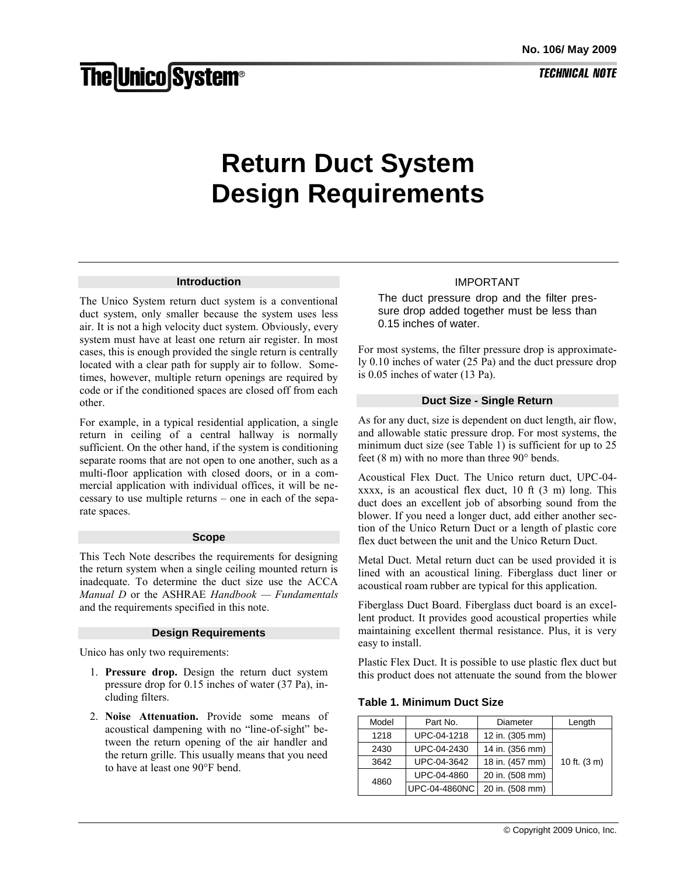# **TECHNICAL NOTE**

# **Return Duct System Design Requirements**

#### **Introduction**

The Unico System return duct system is a conventional duct system, only smaller because the system uses less air. It is not a high velocity duct system. Obviously, every system must have at least one return air register. In most cases, this is enough provided the single return is centrally located with a clear path for supply air to follow. Sometimes, however, multiple return openings are required by code or if the conditioned spaces are closed off from each other.

For example, in a typical residential application, a single return in ceiling of a central hallway is normally sufficient. On the other hand, if the system is conditioning separate rooms that are not open to one another, such as a multi-floor application with closed doors, or in a commercial application with individual offices, it will be necessary to use multiple returns – one in each of the separate spaces.

#### **Scope**

This Tech Note describes the requirements for designing the return system when a single ceiling mounted return is inadequate. To determine the duct size use the ACCA *Manual D* or the ASHRAE *Handbook — Fundamentals* and the requirements specified in this note.

#### **Design Requirements**

Unico has only two requirements:

- 1. **Pressure drop.** Design the return duct system pressure drop for 0.15 inches of water (37 Pa), including filters.
- 2. **Noise Attenuation.** Provide some means of acoustical dampening with no "line-of-sight" between the return opening of the air handler and the return grille. This usually means that you need to have at least one 90°F bend.

## IMPORTANT

The duct pressure drop and the filter pressure drop added together must be less than 0.15 inches of water.

For most systems, the filter pressure drop is approximately 0.10 inches of water (25 Pa) and the duct pressure drop is 0.05 inches of water (13 Pa).

### **Duct Size - Single Return**

As for any duct, size is dependent on duct length, air flow, and allowable static pressure drop. For most systems, the minimum duct size (see Table 1) is sufficient for up to 25 feet (8 m) with no more than three 90° bends.

Acoustical Flex Duct. The Unico return duct, UPC-04 xxxx, is an acoustical flex duct, 10 ft (3 m) long. This duct does an excellent job of absorbing sound from the blower. If you need a longer duct, add either another section of the Unico Return Duct or a length of plastic core flex duct between the unit and the Unico Return Duct.

Metal Duct. Metal return duct can be used provided it is lined with an acoustical lining. Fiberglass duct liner or acoustical roam rubber are typical for this application.

Fiberglass Duct Board. Fiberglass duct board is an excellent product. It provides good acoustical properties while maintaining excellent thermal resistance. Plus, it is very easy to install.

Plastic Flex Duct. It is possible to use plastic flex duct but this product does not attenuate the sound from the blower

#### **Table 1. Minimum Duct Size**

| Model | Part No.      | Diameter        | Length       |
|-------|---------------|-----------------|--------------|
| 1218  | UPC-04-1218   | 12 in. (305 mm) |              |
| 2430  | UPC-04-2430   | 14 in. (356 mm) |              |
| 3642  | UPC-04-3642   | 18 in. (457 mm) | 10 ft. (3 m) |
| 4860  | UPC-04-4860   | 20 in. (508 mm) |              |
|       | UPC-04-4860NC | 20 in. (508 mm) |              |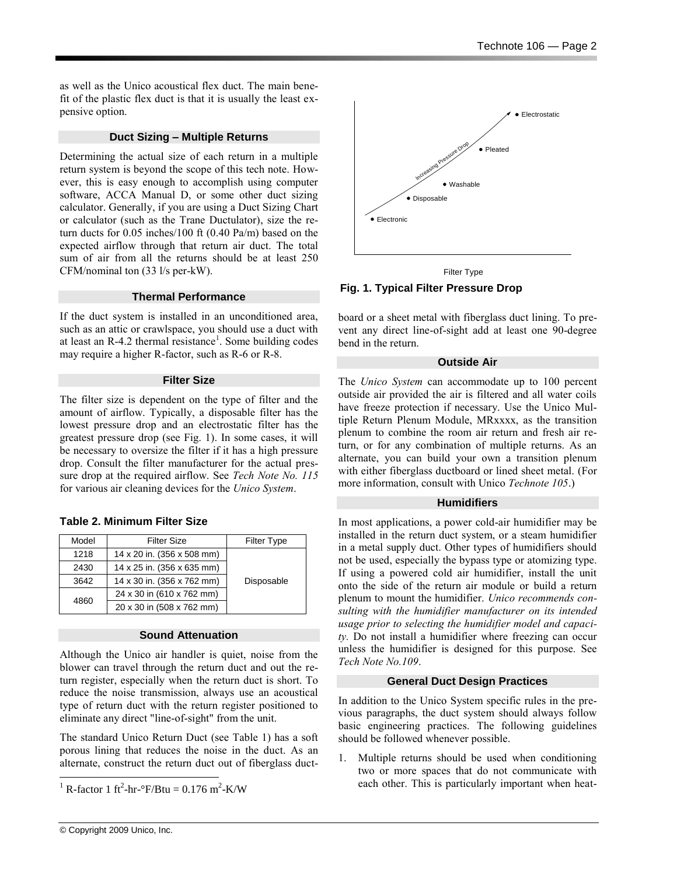as well as the Unico acoustical flex duct. The main benefit of the plastic flex duct is that it is usually the least expensive option.

# **Duct Sizing – Multiple Returns**

Determining the actual size of each return in a multiple return system is beyond the scope of this tech note. However, this is easy enough to accomplish using computer software, ACCA Manual D, or some other duct sizing calculator. Generally, if you are using a Duct Sizing Chart or calculator (such as the Trane Ductulator), size the return ducts for 0.05 inches/100 ft (0.40 Pa/m) based on the expected airflow through that return air duct. The total sum of air from all the returns should be at least 250 CFM/nominal ton (33 l/s per-kW).

## **Thermal Performance**

If the duct system is installed in an unconditioned area, such as an attic or crawlspace, you should use a duct with at least an R-4.2 thermal resistance<sup>1</sup>. Some building codes may require a higher R-factor, such as R-6 or R-8.

## **Filter Size**

The filter size is dependent on the type of filter and the amount of airflow. Typically, a disposable filter has the lowest pressure drop and an electrostatic filter has the greatest pressure drop (see Fig. 1). In some cases, it will be necessary to oversize the filter if it has a high pressure drop. Consult the filter manufacturer for the actual pressure drop at the required airflow. See *Tech Note No. 115* for various air cleaning devices for the *Unico System*.

|  |  | <b>Table 2. Minimum Filter Size</b> |
|--|--|-------------------------------------|
|--|--|-------------------------------------|

| Model | <b>Filter Size</b>         | <b>Filter Type</b> |  |
|-------|----------------------------|--------------------|--|
| 1218  | 14 x 20 in. (356 x 508 mm) |                    |  |
| 2430  | 14 x 25 in. (356 x 635 mm) |                    |  |
| 3642  | 14 x 30 in. (356 x 762 mm) | Disposable         |  |
| 4860  | 24 x 30 in (610 x 762 mm)  |                    |  |
|       | 20 x 30 in (508 x 762 mm)  |                    |  |

# **Sound Attenuation**

Although the Unico air handler is quiet, noise from the blower can travel through the return duct and out the return register, especially when the return duct is short. To reduce the noise transmission, always use an acoustical type of return duct with the return register positioned to eliminate any direct "line-of-sight" from the unit.

The standard Unico Return Duct (see Table 1) has a soft porous lining that reduces the noise in the duct. As an alternate, construct the return duct out of fiberglass duct-



Filter Type

**Fig. 1. Typical Filter Pressure Drop**

board or a sheet metal with fiberglass duct lining. To prevent any direct line-of-sight add at least one 90-degree bend in the return.

# **Outside Air**

The *Unico System* can accommodate up to 100 percent outside air provided the air is filtered and all water coils have freeze protection if necessary. Use the Unico Multiple Return Plenum Module, MRxxxx, as the transition plenum to combine the room air return and fresh air return, or for any combination of multiple returns. As an alternate, you can build your own a transition plenum with either fiberglass ductboard or lined sheet metal. (For more information, consult with Unico *Technote 105*.)

# **Humidifiers**

In most applications, a power cold-air humidifier may be installed in the return duct system, or a steam humidifier in a metal supply duct. Other types of humidifiers should not be used, especially the bypass type or atomizing type. If using a powered cold air humidifier, install the unit onto the side of the return air module or build a return plenum to mount the humidifier. *Unico recommends consulting with the humidifier manufacturer on its intended usage prior to selecting the humidifier model and capacity.* Do not install a humidifier where freezing can occur unless the humidifier is designed for this purpose. See *Tech Note No.109*.

# **General Duct Design Practices**

In addition to the Unico System specific rules in the previous paragraphs, the duct system should always follow basic engineering practices. The following guidelines should be followed whenever possible.

1. Multiple returns should be used when conditioning two or more spaces that do not communicate with each other. This is particularly important when heat-

l

<sup>&</sup>lt;sup>1</sup> R-factor 1 ft<sup>2</sup>-hr-°F/Btu = 0.176 m<sup>2</sup>-K/W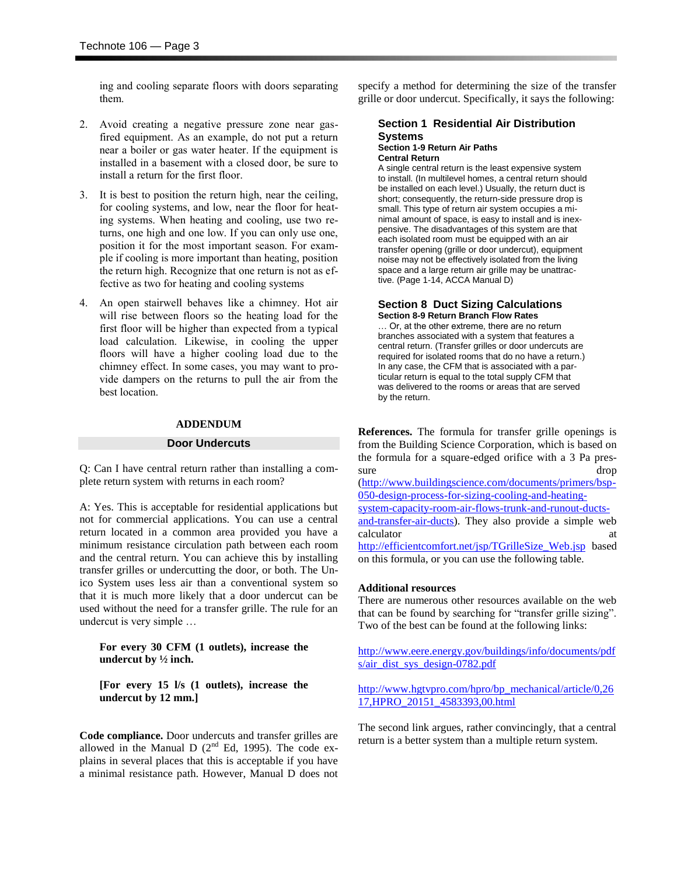ing and cooling separate floors with doors separating them.

- 2. Avoid creating a negative pressure zone near gasfired equipment. As an example, do not put a return near a boiler or gas water heater. If the equipment is installed in a basement with a closed door, be sure to install a return for the first floor.
- 3. It is best to position the return high, near the ceiling, for cooling systems, and low, near the floor for heating systems. When heating and cooling, use two returns, one high and one low. If you can only use one, position it for the most important season. For example if cooling is more important than heating, position the return high. Recognize that one return is not as effective as two for heating and cooling systems
- 4. An open stairwell behaves like a chimney. Hot air will rise between floors so the heating load for the first floor will be higher than expected from a typical load calculation. Likewise, in cooling the upper floors will have a higher cooling load due to the chimney effect. In some cases, you may want to provide dampers on the returns to pull the air from the best location.

#### **ADDENDUM**

#### **Door Undercuts**

Q: Can I have central return rather than installing a complete return system with returns in each room?

A: Yes. This is acceptable for residential applications but not for commercial applications. You can use a central return located in a common area provided you have a minimum resistance circulation path between each room and the central return. You can achieve this by installing transfer grilles or undercutting the door, or both. The Unico System uses less air than a conventional system so that it is much more likely that a door undercut can be used without the need for a transfer grille. The rule for an undercut is very simple …

**For every 30 CFM (1 outlets), increase the undercut by ½ inch.**

**[For every 15 l/s (1 outlets), increase the undercut by 12 mm.]**

**Code compliance.** Door undercuts and transfer grilles are allowed in the Manual D  $(2<sup>nd</sup> Ed, 1995)$ . The code explains in several places that this is acceptable if you have a minimal resistance path. However, Manual D does not specify a method for determining the size of the transfer grille or door undercut. Specifically, it says the following:

### **Section 1 Residential Air Distribution Systems Section 1-9 Return Air Paths**

**Central Return** A single central return is the least expensive system to install. (In multilevel homes, a central return should be installed on each level.) Usually, the return duct is short; consequently, the return-side pressure drop is small. This type of return air system occupies a minimal amount of space, is easy to install and is inexpensive. The disadvantages of this system are that each isolated room must be equipped with an air transfer opening (grille or door undercut), equipment noise may not be effectively isolated from the living space and a large return air grille may be unattractive. (Page 1-14, ACCA Manual D)

#### **Section 8 Duct Sizing Calculations Section 8-9 Return Branch Flow Rates**

… Or, at the other extreme, there are no return branches associated with a system that features a central return. (Transfer grilles or door undercuts are required for isolated rooms that do no have a return.) In any case, the CFM that is associated with a particular return is equal to the total supply CFM that was delivered to the rooms or areas that are served by the return.

**References.** The formula for transfer grille openings is from the Building Science Corporation, which is based on the formula for a square-edged orifice with a 3 Pa pressure drop

[\(http://www.buildingscience.com/documents/primers/bsp-](http://www.buildingscience.com/documents/primers/bsp-050-design-process-for-sizing-cooling-and-heating-system-capacity-room-air-flows-trunk-and-runout-ducts-and-transfer-air-ducts)[050-design-process-for-sizing-cooling-and-heating-](http://www.buildingscience.com/documents/primers/bsp-050-design-process-for-sizing-cooling-and-heating-system-capacity-room-air-flows-trunk-and-runout-ducts-and-transfer-air-ducts)

[system-capacity-room-air-flows-trunk-and-runout-ducts](http://www.buildingscience.com/documents/primers/bsp-050-design-process-for-sizing-cooling-and-heating-system-capacity-room-air-flows-trunk-and-runout-ducts-and-transfer-air-ducts)[and-transfer-air-ducts\)](http://www.buildingscience.com/documents/primers/bsp-050-design-process-for-sizing-cooling-and-heating-system-capacity-room-air-flows-trunk-and-runout-ducts-and-transfer-air-ducts). They also provide a simple web calculator [http://efficientcomfort.net/jsp/TGrilleSize\\_Web.jsp](http://efficientcomfort.net/jsp/TGrilleSize_Web.jsp) based on this formula, or you can use the following table.

#### **Additional resources**

There are numerous other resources available on the web that can be found by searching for "transfer grille sizing". Two of the best can be found at the following links:

[http://www.eere.energy.gov/buildings/info/documents/pdf](http://www.eere.energy.gov/buildings/info/documents/pdfs/air_dist_sys_design-0782.pdf) [s/air\\_dist\\_sys\\_design-0782.pdf](http://www.eere.energy.gov/buildings/info/documents/pdfs/air_dist_sys_design-0782.pdf)

[http://www.hgtvpro.com/hpro/bp\\_mechanical/article/0,26](http://www.hgtvpro.com/hpro/bp_mechanical/article/0,2617,HPRO_20151_4583393,00.html) [17,HPRO\\_20151\\_4583393,00.html](http://www.hgtvpro.com/hpro/bp_mechanical/article/0,2617,HPRO_20151_4583393,00.html)

The second link argues, rather convincingly, that a central return is a better system than a multiple return system.